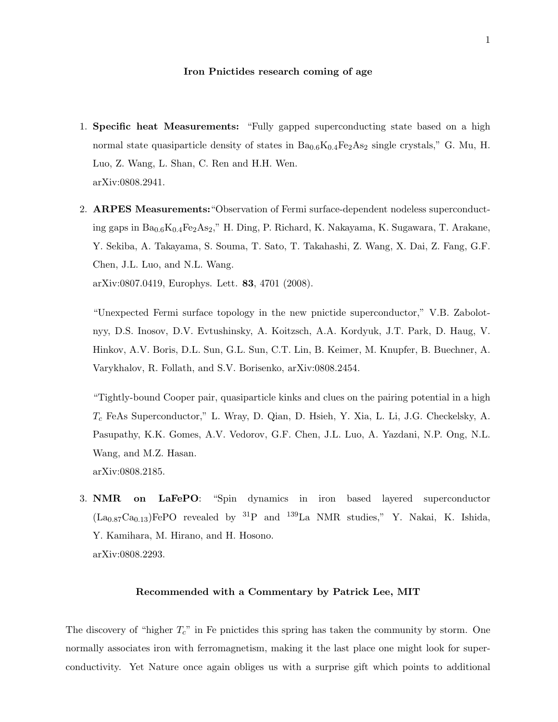## Iron Pnictides research coming of age

- 1. Specific heat Measurements: "Fully gapped superconducting state based on a high normal state quasiparticle density of states in  $Ba_{0.6}K_{0.4}Fe_2As_2$  single crystals," G. Mu, H. Luo, Z. Wang, L. Shan, C. Ren and H.H. Wen. arXiv:0808.2941.
- 2. ARPES Measurements:"Observation of Fermi surface-dependent nodeless superconducting gaps in  $Ba_{0.6}K_{0.4}Fe_2As_2$ ," H. Ding, P. Richard, K. Nakayama, K. Sugawara, T. Arakane, Y. Sekiba, A. Takayama, S. Souma, T. Sato, T. Takahashi, Z. Wang, X. Dai, Z. Fang, G.F. Chen, J.L. Luo, and N.L. Wang. arXiv:0807.0419, Europhys. Lett. 83, 4701 (2008).

"Unexpected Fermi surface topology in the new pnictide superconductor," V.B. Zabolotnyy, D.S. Inosov, D.V. Evtushinsky, A. Koitzsch, A.A. Kordyuk, J.T. Park, D. Haug, V. Hinkov, A.V. Boris, D.L. Sun, G.L. Sun, C.T. Lin, B. Keimer, M. Knupfer, B. Buechner, A. Varykhalov, R. Follath, and S.V. Borisenko, arXiv:0808.2454.

"Tightly-bound Cooper pair, quasiparticle kinks and clues on the pairing potential in a high  $T_c$  FeAs Superconductor," L. Wray, D. Qian, D. Hsieh, Y. Xia, L. Li, J.G. Checkelsky, A. Pasupathy, K.K. Gomes, A.V. Vedorov, G.F. Chen, J.L. Luo, A. Yazdani, N.P. Ong, N.L. Wang, and M.Z. Hasan. arXiv:0808.2185.

3. NMR on LaFePO: "Spin dynamics in iron based layered superconductor  $(La_{0.87}Ca_{0.13})$ FePO revealed by <sup>31</sup>P and <sup>139</sup>La NMR studies," Y. Nakai, K. Ishida, Y. Kamihara, M. Hirano, and H. Hosono. arXiv:0808.2293.

## Recommended with a Commentary by Patrick Lee, MIT

The discovery of "higher  $T_c$ " in Fe pnictides this spring has taken the community by storm. One normally associates iron with ferromagnetism, making it the last place one might look for superconductivity. Yet Nature once again obliges us with a surprise gift which points to additional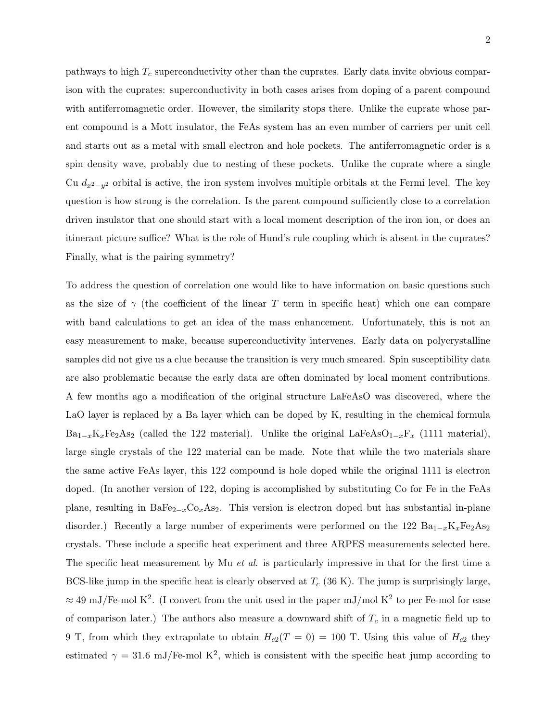pathways to high  $T_c$  superconductivity other than the cuprates. Early data invite obvious comparison with the cuprates: superconductivity in both cases arises from doping of a parent compound with antiferromagnetic order. However, the similarity stops there. Unlike the cuprate whose parent compound is a Mott insulator, the FeAs system has an even number of carriers per unit cell and starts out as a metal with small electron and hole pockets. The antiferromagnetic order is a spin density wave, probably due to nesting of these pockets. Unlike the cuprate where a single Cu  $d_{x^2-y^2}$  orbital is active, the iron system involves multiple orbitals at the Fermi level. The key question is how strong is the correlation. Is the parent compound sufficiently close to a correlation driven insulator that one should start with a local moment description of the iron ion, or does an itinerant picture suffice? What is the role of Hund's rule coupling which is absent in the cuprates? Finally, what is the pairing symmetry?

To address the question of correlation one would like to have information on basic questions such as the size of  $\gamma$  (the coefficient of the linear T term in specific heat) which one can compare with band calculations to get an idea of the mass enhancement. Unfortunately, this is not an easy measurement to make, because superconductivity intervenes. Early data on polycrystalline samples did not give us a clue because the transition is very much smeared. Spin susceptibility data are also problematic because the early data are often dominated by local moment contributions. A few months ago a modification of the original structure LaFeAsO was discovered, where the LaO layer is replaced by a Ba layer which can be doped by K, resulting in the chemical formula  $Ba_{1-x}K_xFe_2As_2$  (called the 122 material). Unlike the original LaFeAsO<sub>1−x</sub>F<sub>x</sub> (1111 material), large single crystals of the 122 material can be made. Note that while the two materials share the same active FeAs layer, this 122 compound is hole doped while the original 1111 is electron doped. (In another version of 122, doping is accomplished by substituting Co for Fe in the FeAs plane, resulting in BaFe<sub>2-x</sub>Co<sub>x</sub>As<sub>2</sub>. This version is electron doped but has substantial in-plane disorder.) Recently a large number of experiments were performed on the 122  $Ba_{1-x}K_xFe_2As_2$ crystals. These include a specific heat experiment and three ARPES measurements selected here. The specific heat measurement by Mu *et al.* is particularly impressive in that for the first time a BCS-like jump in the specific heat is clearly observed at  $T_c$  (36 K). The jump is surprisingly large,  $\approx 49 \text{ mJ/Fe-mol K}^2$ . (I convert from the unit used in the paper mJ/mol K<sup>2</sup> to per Fe-mol for ease of comparison later.) The authors also measure a downward shift of  $T_c$  in a magnetic field up to 9 T, from which they extrapolate to obtain  $H_{c2}(T = 0) = 100$  T. Using this value of  $H_{c2}$  they estimated  $\gamma = 31.6 \text{ mJ/Fe-mol K}^2$ , which is consistent with the specific heat jump according to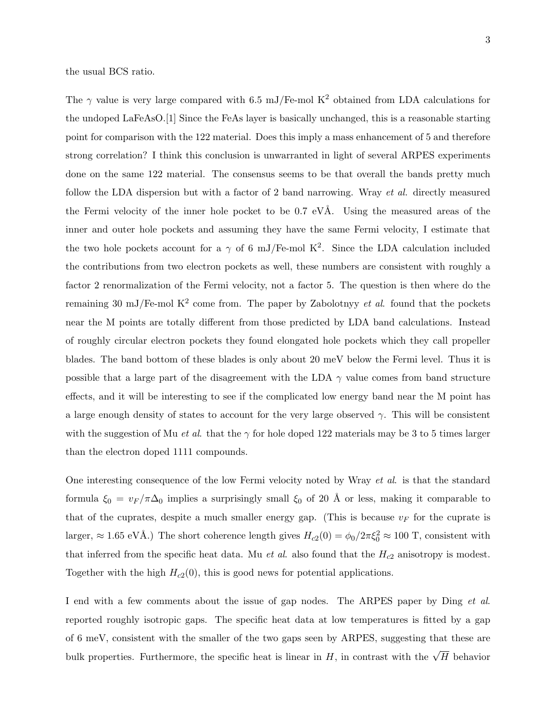the usual BCS ratio.

The  $\gamma$  value is very large compared with 6.5 mJ/Fe-mol K<sup>2</sup> obtained from LDA calculations for the undoped LaFeAsO.[1] Since the FeAs layer is basically unchanged, this is a reasonable starting point for comparison with the 122 material. Does this imply a mass enhancement of 5 and therefore strong correlation? I think this conclusion is unwarranted in light of several ARPES experiments done on the same 122 material. The consensus seems to be that overall the bands pretty much follow the LDA dispersion but with a factor of 2 band narrowing. Wray et al. directly measured the Fermi velocity of the inner hole pocket to be  $0.7 \text{ eV}$ Å. Using the measured areas of the inner and outer hole pockets and assuming they have the same Fermi velocity, I estimate that the two hole pockets account for a  $\gamma$  of 6 mJ/Fe-mol K<sup>2</sup>. Since the LDA calculation included the contributions from two electron pockets as well, these numbers are consistent with roughly a factor 2 renormalization of the Fermi velocity, not a factor 5. The question is then where do the remaining 30 mJ/Fe-mol  $K^2$  come from. The paper by Zabolotnyy *et al.* found that the pockets near the M points are totally different from those predicted by LDA band calculations. Instead of roughly circular electron pockets they found elongated hole pockets which they call propeller blades. The band bottom of these blades is only about 20 meV below the Fermi level. Thus it is possible that a large part of the disagreement with the LDA  $\gamma$  value comes from band structure effects, and it will be interesting to see if the complicated low energy band near the M point has a large enough density of states to account for the very large observed  $\gamma$ . This will be consistent with the suggestion of Mu *et al.* that the  $\gamma$  for hole doped 122 materials may be 3 to 5 times larger than the electron doped 1111 compounds.

One interesting consequence of the low Fermi velocity noted by Wray et al. is that the standard formula  $\xi_0 = v_F / \pi \Delta_0$  implies a surprisingly small  $\xi_0$  of 20 Å or less, making it comparable to that of the cuprates, despite a much smaller energy gap. (This is because  $v_F$  for the cuprate is larger,  $\approx 1.65 \text{ eV}$ Å.) The short coherence length gives  $H_{c2}(0) = \phi_0/2\pi \xi_0^2 \approx 100 \text{ T}$ , consistent with that inferred from the specific heat data. Mu et al. also found that the  $H_{c2}$  anisotropy is modest. Together with the high  $H_{c2}(0)$ , this is good news for potential applications.

I end with a few comments about the issue of gap nodes. The ARPES paper by Ding et al. reported roughly isotropic gaps. The specific heat data at low temperatures is fitted by a gap of 6 meV, consistent with the smaller of the two gaps seen by ARPES, suggesting that these are bulk properties. Furthermore, the specific heat is linear in H, in contrast with the  $\sqrt{H}$  behavior